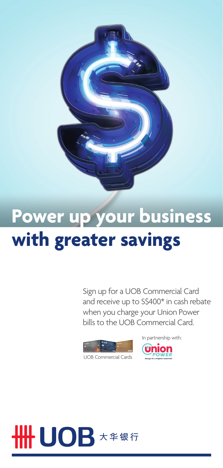

## **Power up your business with greater savings**

Sign up for a UOB Commercial Card and receive up to S\$400\* in cash rebate when you charge your Union Power bills to the UOB Commercial Card.